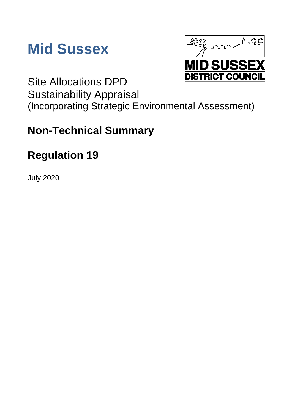



Site Allocations DPD Sustainability Appraisal (Incorporating Strategic Environmental Assessment)

# **Non-Technical Summary**

# **Regulation 19**

July 2020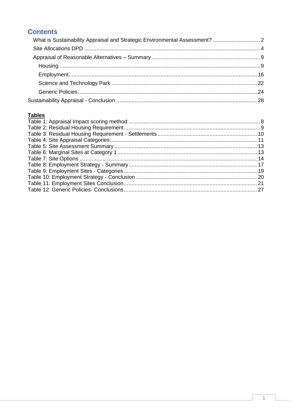## **Contents**

### **Tables**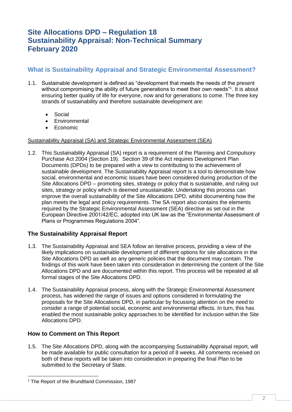# **Site Allocations DPD – Regulation 18 Sustainability Appraisal: Non-Technical Summary February 2020**

### <span id="page-2-0"></span>**What is Sustainability Appraisal and Strategic Environmental Assessment?**

- 1.1. Sustainable development is defined as "development that meets the needs of the present without compromising the ability of future generations to meet their own needs"<sup>1</sup>. It is about ensuring better quality of life for everyone, now and for generations to come. The three key strands of sustainability and therefore sustainable development are:
	- Social
	- Environmental
	- Economic

### Sustainability Appraisal (SA) and Strategic Environmental Assessment (SEA)

1.2. This Sustainability Appraisal (SA) report is a requirement of the Planning and Compulsory Purchase Act 2004 (Section 19). Section 39 of the Act requires Development Plan Documents (DPDs) to be prepared with a view to contributing to the achievement of sustainable development. The Sustainability Appraisal report is a tool to demonstrate how social, environmental and economic issues have been considered during production of the Site Allocations DPD – promoting sites, strategy or policy that is sustainable, and ruling out sites, strategy or policy which is deemed unsustainable. Undertaking this process can improve the overall sustainability of the Site Allocations DPD, whilst documenting how the plan meets the legal and policy requirements. The SA report also contains the elements required by the Strategic Environmental Assessment (SEA) directive as set out in the European Directive 2001/42/EC, adopted into UK law as the "Environmental Assessment of Plans or Programmes Regulations 2004".

### **The Sustainability Appraisal Report**

- 1.3. The Sustainability Appraisal and SEA follow an iterative process, providing a view of the likely implications on sustainable development of different options for site allocations in the Site Allocations DPD as well as any generic policies that the document may contain. The findings of this work have been taken into consideration in determining the content of the Site Allocations DPD and are documented within this report. This process will be repeated at all formal stages of the Site Allocations DPD.
- 1.4. The Sustainability Appraisal process, along with the Strategic Environmental Assessment process, has widened the range of issues and options considered in formulating the proposals for the Site Allocations DPD, in particular by focussing attention on the need to consider a range of potential social, economic and environmental effects. In turn, this has enabled the most sustainable policy approaches to be identified for inclusion within the Site Allocations DPD.

### **How to Comment on This Report**

-

1.5. The Site Allocations DPD, along with the accompanying Sustainability Appraisal report, will be made available for public consultation for a period of 8 weeks. All comments received on both of these reports will be taken into consideration in preparing the final Plan to be submitted to the Secretary of State.

<sup>1</sup> The Report of the Brundtland Commission, 1987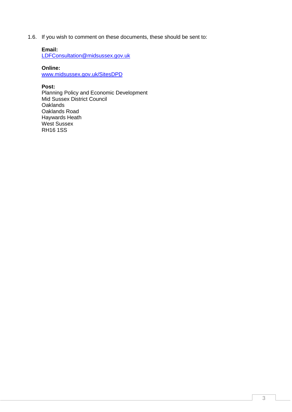1.6. If you wish to comment on these documents, these should be sent to:

### **Email:**

[LDFConsultation@midsussex.gov.uk](mailto:LDFConsultation@midsussex.gov.uk)

**Online:** 

www.midsussex.gov.uk/SitesDPD

### **Post:**

Planning Policy and Economic Development Mid Sussex District Council **Oaklands** Oaklands Road Haywards Heath West Sussex RH16 1SS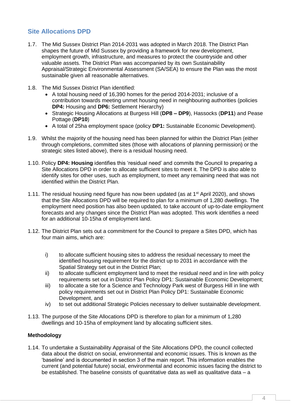### <span id="page-4-0"></span>**Site Allocations DPD**

- 1.7. The Mid Sussex District Plan 2014-2031 was adopted in March 2018. The District Plan shapes the future of Mid Sussex by providing a framework for new development, employment growth, infrastructure, and measures to protect the countryside and other valuable assets. The District Plan was accompanied by its own Sustainability Appraisal/Strategic Environmental Assessment (SA/SEA) to ensure the Plan was the most sustainable given all reasonable alternatives.
- 1.8. The Mid Sussex District Plan identified:
	- A total housing need of 16,390 homes for the period 2014-2031; inclusive of a contribution towards meeting unmet housing need in neighbouring authorities (policies **DP4:** Housing and **DP6:** Settlement Hierarchy)
	- Strategic Housing Allocations at Burgess Hill (**DP8 – DP9**), Hassocks (**DP11**) and Pease Pottage (**DP10**)
	- A total of 25ha employment space (policy **DP1:** Sustainable Economic Development).
- 1.9. Whilst the majority of the housing need has been planned for within the District Plan (either through completions, committed sites (those with allocations of planning permission) or the strategic sites listed above), there is a residual housing need.
- 1.10. Policy **DP4: Housing** identifies this 'residual need' and commits the Council to preparing a Site Allocations DPD in order to allocate sufficient sites to meet it. The DPD is also able to identify sites for other uses, such as employment, to meet any remaining need that was not identified within the District Plan.
- 1.11. The residual housing need figure has now been updated (as at 1<sup>st</sup> April 2020), and shows that the Site Allocations DPD will be required to plan for a minimum of 1,280 dwellings. The employment need position has also been updated, to take account of up-to-date employment forecasts and any changes since the District Plan was adopted. This work identifies a need for an additional 10-15ha of employment land.
- 1.12. The District Plan sets out a commitment for the Council to prepare a Sites DPD, which has four main aims, which are:
	- i) to allocate sufficient housing sites to address the residual necessary to meet the identified housing requirement for the district up to 2031 in accordance with the Spatial Strategy set out in the District Plan;
	- ii) to allocate sufficient employment land to meet the residual need and in line with policy requirements set out in District Plan Policy DP1: Sustainable Economic Development;
	- iii) to allocate a site for a Science and Technology Park west of Burgess Hill in line with policy requirements set out in District Plan Policy DP1: Sustainable Economic Development, and
	- iv) to set out additional Strategic Policies necessary to deliver sustainable development.
- 1.13. The purpose of the Site Allocations DPD is therefore to plan for a minimum of 1,280 dwellings and 10-15ha of employment land by allocating sufficient sites.

### **Methodology**

1.14. To undertake a Sustainability Appraisal of the Site Allocations DPD, the council collected data about the district on social, environmental and economic issues. This is known as the 'baseline' and is documented in section 3 of the main report. This information enables the current (and potential future) social, environmental and economic issues facing the district to be established. The baseline consists of quantitative data as well as qualitative data – a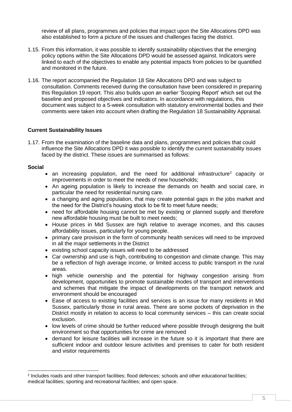review of all plans, programmes and policies that impact upon the Site Allocations DPD was also established to form a picture of the issues and challenges facing the district.

- 1.15. From this information, it was possible to identify sustainability objectives that the emerging policy options within the Site Allocations DPD would be assessed against. Indicators were linked to each of the objectives to enable any potential impacts from policies to be quantified and monitored in the future.
- 1.16. The report accompanied the Regulation 18 Site Allocations DPD and was subject to consultation. Comments received during the consultation have been considered in preparing this Regulation 19 report. This also builds upon an earlier 'Scoping Report' which set out the baseline and proposed objectives and indicators. In accordance with regulations, this document was subject to a 5-week consultation with statutory environmental bodies and their comments were taken into account when drafting the Regulation 18 Sustainability Appraisal.

### **Current Sustainability Issues**

1.17. From the examination of the baseline data and plans, programmes and policies that could influence the Site Allocations DPD it was possible to identify the current sustainability issues faced by the district. These issues are summarised as follows:

### **Social**

-

- an increasing population, and the need for additional infrastructure<sup>2</sup> capacity or improvements in order to meet the needs of new households;
- An ageing population is likely to increase the demands on health and social care, in particular the need for residential nursing care.
- a changing and aging population, that may create potential gaps in the jobs market and the need for the District's housing stock to be fit to meet future needs;
- need for affordable housing cannot be met by existing or planned supply and therefore new affordable housing must be built to meet needs;
- House prices in Mid Sussex are high relative to average incomes, and this causes affordability issues, particularly for young people.
- primary care provision in the form of community health services will need to be improved in all the major settlements in the District
- existing school capacity issues will need to be addressed
- Car ownership and use is high, contributing to congestion and climate change. This may be a reflection of high average income, or limited access to public transport in the rural areas.
- high vehicle ownership and the potential for highway congestion arising from development, opportunities to promote sustainable modes of transport and interventions and schemes that mitigate the impact of developments on the transport network and environment should be encouraged
- Ease of access to existing facilities and services is an issue for many residents in Mid Sussex, particularly those in rural areas. There are some pockets of deprivation in the District mostly in relation to access to local community services – this can create social exclusion.
- low levels of crime should be further reduced where possible through designing the built environment so that opportunities for crime are removed
- demand for leisure facilities will increase in the future so it is important that there are sufficient indoor and outdoor leisure activities and premises to cater for both resident and visitor requirements

<sup>2</sup> Includes roads and other transport facilities; flood defences; schools and other educational facilities; medical facilities; sporting and recreational facilities; and open space.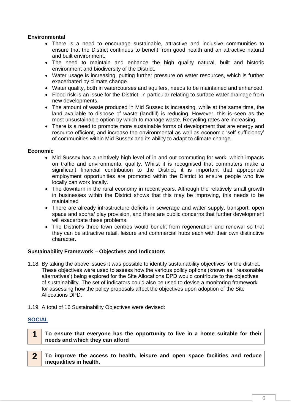### **Environmental**

- There is a need to encourage sustainable, attractive and inclusive communities to ensure that the District continues to benefit from good health and an attractive natural and built environment.
- The need to maintain and enhance the high quality natural, built and historic environment and biodiversity of the District.
- Water usage is increasing, putting further pressure on water resources, which is further exacerbated by climate change.
- Water quality, both in watercourses and aquifers, needs to be maintained and enhanced.
- Flood risk is an issue for the District, in particular relating to surface water drainage from new developments.
- The amount of waste produced in Mid Sussex is increasing, while at the same time, the land available to dispose of waste (landfill) is reducing. However, this is seen as the most unsustainable option by which to manage waste. Recycling rates are increasing.
- There is a need to promote more sustainable forms of development that are energy and resource efficient, and increase the environmental as well as economic 'self-sufficiency' of communities within Mid Sussex and its ability to adapt to climate change.

#### **Economic**

- Mid Sussex has a relatively high level of in and out commuting for work, which impacts on traffic and environmental quality. Whilst it is recognised that commuters make a significant financial contribution to the District, it is important that appropriate employment opportunities are promoted within the District to ensure people who live locally can work locally.
- The downturn in the rural economy in recent years. Although the relatively small growth in businesses within the District shows that this may be improving, this needs to be maintained
- There are already infrastructure deficits in sewerage and water supply, transport, open space and sports/ play provision, and there are public concerns that further development will exacerbate these problems.
- The District's three town centres would benefit from regeneration and renewal so that they can be attractive retail, leisure and commercial hubs each with their own distinctive character.

### **Sustainability Framework – Objectives and Indicators**

- 1.18. By taking the above issues it was possible to identify sustainability objectives for the district. These objectives were used to assess how the various policy options (known as ' reasonable alternatives') being explored for the Site Allocations DPD would contribute to the objectives of sustainability. The set of indicators could also be used to devise a monitoring framework for assessing how the policy proposals affect the objectives upon adoption of the Site Allocations DPD.
- 1.19. A total of 16 Sustainability Objectives were devised:

### **SOCIAL**

- **1 To ensure that everyone has the opportunity to live in a home suitable for their needs and which they can afford**
- **2 To improve the access to health, leisure and open space facilities and reduce inequalities in health.**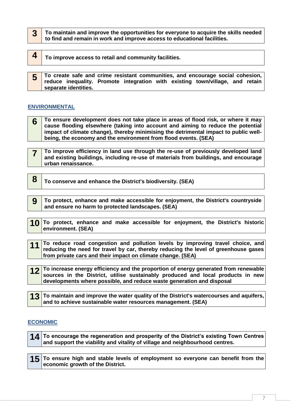| $3$ To maintain and improve the opportunities for everyone to acquire the skills needed |
|-----------------------------------------------------------------------------------------|
| to find and remain in work and improve access to educational facilities.                |

| To improve access to retail and community facilities.                                                                                                                                     |  |  |
|-------------------------------------------------------------------------------------------------------------------------------------------------------------------------------------------|--|--|
| To create safe and crime resistant communities, and encourage social cohesion,  <br>reduce inequality. Promote integration with existing town/village, and retain<br>separate identities. |  |  |

### **ENVIRONMENTAL**

**6 To ensure development does not take place in areas of flood risk, or where it may cause flooding elsewhere (taking into account and aiming to reduce the potential impact of climate change), thereby minimising the detrimental impact to public wellbeing, the economy and the environment from flood events. (SEA)**

- **7 To improve efficiency in land use through the re-use of previously developed land and existing buildings, including re-use of materials from buildings, and encourage urban renaissance.**
- **8 To conserve and enhance the District's biodiversity. (SEA)**
- **9 To protect, enhance and make accessible for enjoyment, the District's countryside and ensure no harm to protected landscapes. (SEA)**
- **10 To protect, enhance and make accessible for enjoyment, the District's historic environment. (SEA)**
- **11** To reduce road congestion and pollution levels by improving travel choice, and **reducing the need for travel by car, thereby reducing the level of greenhouse gases from private cars and their impact on climate change. (SEA)**
- **12 To increase energy efficiency and the proportion of energy generated from renewable sources in the District, utilise sustainably produced and local products in new developments where possible, and reduce waste generation and disposal**
- **13** To maintain and improve the water quality of the District's watercourses and aquifers, **and to achieve sustainable water resources management. (SEA)**

### **ECONOMIC**

| 14 To encourage the regeneration and prosperity of the District's existing Town Centres |
|-----------------------------------------------------------------------------------------|
| and support the viability and vitality of village and neighbourhood centres.            |

**15 To ensure high and stable levels of employment so everyone can benefit from the economic growth of the District.**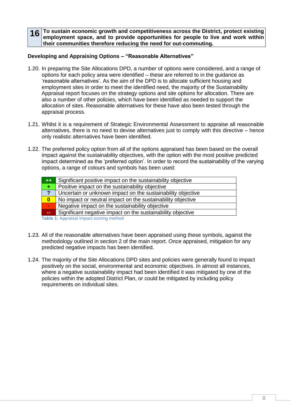**16** To sustain economic growth and competitiveness across the District, protect existing **employment space, and to provide opportunities for people to live and work within their communities therefore reducing the need for out-commuting.**

### **Developing and Appraising Options – "Reasonable Alternatives"**

- 1.20. In preparing the Site Allocations DPD, a number of options were considered, and a range of options for each policy area were identified – these are referred to in the guidance as 'reasonable alternatives'. As the aim of the DPD is to allocate sufficient housing and employment sites in order to meet the identified need, the majority of the Sustainability Appraisal report focuses on the strategy options and site options for allocation. There are also a number of other policies, which have been identified as needed to support the allocation of sites. Reasonable alternatives for these have also been tested through the appraisal process.
- 1.21. Whilst it is a requirement of Strategic Environmental Assessment to appraise all reasonable alternatives, there is no need to devise alternatives just to comply with this directive – hence only realistic alternatives have been identified.
- 1.22. The preferred policy option from all of the options appraised has been based on the overall impact against the sustainability objectives, with the option with the most positive predicted impact determined as the 'preferred option'. In order to record the sustainability of the varying options, a range of colours and symbols has been used:

| $++$             | Significant positive impact on the sustainability objective |
|------------------|-------------------------------------------------------------|
| ÷                | Positive impact on the sustainability objective             |
| 2                | Uncertain or unknown impact on the sustainability objective |
| $\boldsymbol{0}$ | No impact or neutral impact on the sustainability objective |
| $\sim$           | Negative impact on the sustainability objective             |
| $\mathbf{m}$     | Significant negative impact on the sustainability objective |
|                  | Table 1: Approject Impact scoring mothod                    |

<span id="page-8-0"></span>**Table 1:** Appraisal Impact scoring method

- 1.23. All of the reasonable alternatives have been appraised using these symbols, against the methodology outlined in section 2 of the main report. Once appraised, mitigation for any predicted negative impacts has been identified.
- 1.24. The majority of the Site Allocations DPD sites and policies were generally found to impact positively on the social, environmental and economic objectives. In almost all instances, where a negative sustainability impact had been identified it was mitigated by one of the policies within the adopted District Plan, or could be mitigated by including policy requirements on individual sites.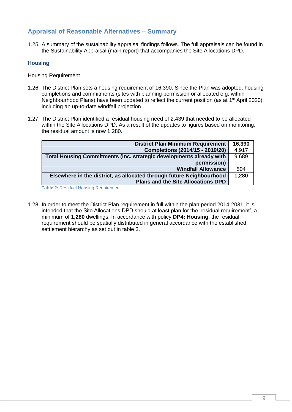### <span id="page-9-0"></span>**Appraisal of Reasonable Alternatives – Summary**

1.25. A summary of the sustainability appraisal findings follows. The full appraisals can be found in the Sustainability Appraisal (main report) that accompanies the Site Allocations DPD.

### <span id="page-9-1"></span>**Housing**

#### Housing Requirement

- 1.26. The District Plan sets a housing requirement of 16,390. Since the Plan was adopted, housing completions and commitments (sites with planning permission or allocated e.g. within Neighbourhood Plans) have been updated to reflect the current position (as at 1<sup>st</sup> April 2020), including an up-to-date windfall projection.
- 1.27. The District Plan identified a residual housing need of 2,439 that needed to be allocated within the Site Allocations DPD. As a result of the updates to figures based on monitoring, the residual amount is now 1,280.

| <b>District Plan Minimum Requirement</b>                             | 16,390 |
|----------------------------------------------------------------------|--------|
| Completions (2014/15 - 2019/20)                                      | 4,917  |
| Total Housing Commitments (inc. strategic developments already with  | 9,689  |
| permission)                                                          |        |
| <b>Windfall Allowance</b>                                            | 504    |
| Elsewhere in the district, as allocated through future Neighbourhood | 1,280  |
| <b>Plans and the Site Allocations DPD</b>                            |        |

<span id="page-9-2"></span>**Table 2:** Residual Housing Requirement

1.28. In order to meet the District Plan requirement in full within the plan period 2014-2031, it is intended that the Site Allocations DPD should at least plan for the 'residual requirement', a minimum of **1,280** dwellings. In accordance with policy **DP4: Housing**, the residual requirement should be spatially distributed in general accordance with the established settlement hierarchy as set out in table 3.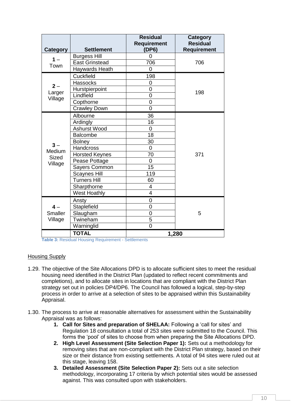| Category          | <b>Settlement</b>     | Residual<br><b>Requirement</b><br>(DP6) | <b>Category</b><br><b>Residual</b><br><b>Requirement</b> |
|-------------------|-----------------------|-----------------------------------------|----------------------------------------------------------|
| $1 -$             | <b>Burgess Hill</b>   | 0                                       |                                                          |
| Town              | <b>East Grinstead</b> | 706                                     | 706                                                      |
|                   | Haywards Heath        | 0                                       |                                                          |
|                   | Cuckfield             | 198                                     |                                                          |
|                   | <b>Hassocks</b>       | 0                                       |                                                          |
| $2 -$             | Hurstpierpoint        | 0                                       | 198                                                      |
| Larger<br>Village | Lindfield             | $\overline{0}$                          |                                                          |
|                   | Copthorne             | $\overline{0}$                          |                                                          |
|                   | <b>Crawley Down</b>   | $\overline{0}$                          |                                                          |
|                   | Albourne              | 36                                      |                                                          |
|                   | Ardingly              | 16                                      |                                                          |
|                   | Ashurst Wood          | 0                                       |                                                          |
|                   | <b>Balcombe</b>       | 18                                      |                                                          |
|                   | <b>Bolney</b>         | 30                                      |                                                          |
| $3 -$<br>Medium   | Handcross             | 0                                       |                                                          |
| Sized             | <b>Horsted Keynes</b> | 70                                      | 371                                                      |
| Village           | Pease Pottage         | 0                                       |                                                          |
|                   | Sayers Common         | 15                                      |                                                          |
|                   | <b>Scaynes Hill</b>   | 119                                     |                                                          |
|                   | <b>Turners Hill</b>   | 60                                      |                                                          |
|                   | Sharpthorne           | 4                                       |                                                          |
|                   | <b>West Hoathly</b>   | $\overline{\mathbf{4}}$                 |                                                          |
|                   | Ansty                 | 0                                       |                                                          |
| $4-$              | Staplefield           | 0                                       |                                                          |
| Smaller           | Slaugham              | $\overline{0}$                          | 5                                                        |
| Village           | Twineham              | 5                                       |                                                          |
|                   | Warninglid            | $\overline{0}$                          |                                                          |
|                   | <b>TOTAL</b>          |                                         | 1,280                                                    |

<span id="page-10-0"></span>**Table 3:** Residual Housing Requirement - Settlements

#### Housing Supply

- 1.29. The objective of the Site Allocations DPD is to allocate sufficient sites to meet the residual housing need identified in the District Plan (updated to reflect recent commitments and completions), and to allocate sites in locations that are compliant with the District Plan strategy set out in policies DP4/DP6. The Council has followed a logical, step-by-step process in order to arrive at a selection of sites to be appraised within this Sustainability Appraisal.
- 1.30. The process to arrive at reasonable alternatives for assessment within the Sustainability Appraisal was as follows:
	- **1. Call for Sites and preparation of SHELAA:** Following a 'call for sites' and Regulation 18 consultation a total of 253 sites were submitted to the Council. This forms the 'pool' of sites to choose from when preparing the Site Allocations DPD.
	- **2. High Level Assessment (Site Selection Paper 1):** Sets out a methodology for removing sites that are non-compliant with the District Plan strategy, based on their size or their distance from existing settlements. A total of 94 sites were ruled out at this stage, leaving 158.
	- **3. Detailed Assessment (Site Selection Paper 2):** Sets out a site selection methodology, incorporating 17 criteria by which potential sites would be assessed against. This was consulted upon with stakeholders.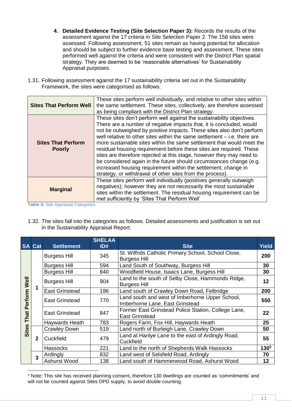- **4. Detailed Evidence Testing (Site Selection Paper 3):** Records the results of the assessment against the 17 criteria in Site Selection Paper 2. The 158 sites were assessed. Following assessment, 51 sites remain as having potential for allocation and should be subject to further evidence base testing and assessment. These sites performed well against the criteria and were consistent with the District Plan spatial strategy. They are deemed to be 'reasonable alternatives' for Sustainability Appraisal purposes.
- 1.31. Following assessment against the 17 sustainability criteria set out in the Sustainability Framework, the sites were categorised as follows:

| <b>Sites That Perform Well</b>             | These sites perform well individually, and relative to other sites within<br>the same settlement. These sites, collectively, are therefore assessed<br>as being compliant with the District Plan strategy.                                                                                                                                                                                                                                                                                                                                                                                                                                                                                                                      |
|--------------------------------------------|---------------------------------------------------------------------------------------------------------------------------------------------------------------------------------------------------------------------------------------------------------------------------------------------------------------------------------------------------------------------------------------------------------------------------------------------------------------------------------------------------------------------------------------------------------------------------------------------------------------------------------------------------------------------------------------------------------------------------------|
| <b>Sites That Perform</b><br><b>Poorly</b> | These sites don't perform well against the sustainability objectives.<br>There are a number of negative impacts that, it is concluded, would<br>not be outweighed by positive impacts. These sites also don't perform<br>well relative to other sites within the same settlement – i.e. there are<br>more sustainable sites within the same settlement that would meet the<br>residual housing requirement before these sites are required. These<br>sites are therefore rejected at this stage, however they may need to<br>be considered again in the future should circumstances change (e.g.<br>increased housing requirement within the settlement, change in<br>strategy, or withdrawal of other sites from the process). |
| <b>Marginal</b>                            | These sites perform well individually (positives generally outweigh<br>negatives); however they are not necessarily the most sustainable<br>sites within the settlement. The residual housing requirement can be<br>met sufficiently by 'Sites That Perform Well'                                                                                                                                                                                                                                                                                                                                                                                                                                                               |

<span id="page-11-0"></span>**Table 4:** Site Appraisal Categories

1.32. The sites fall into the categories as follows. Detailed assessments and justification is set out in the Sustainability Appraisal Report.

|                 | <b>SA Cat</b> | <b>Settlement</b>     | <b>SHELAA</b><br>ID# | <b>Site</b>                                                                        | <b>Yield</b> |
|-----------------|---------------|-----------------------|----------------------|------------------------------------------------------------------------------------|--------------|
|                 |               | <b>Burgess Hill</b>   | 345                  | St. Wilfrids Catholic Primary School, School Close,<br><b>Burgess Hill</b>         | 200          |
|                 |               | <b>Burgess Hill</b>   | 594                  | Land South of Southway, Burgess Hill                                               | 30           |
|                 |               | <b>Burgess Hill</b>   | 840                  | Woodfield House, Isaacs Lane, Burgess Hill                                         | 30           |
| Well            |               | <b>Burgess Hill</b>   | 904                  | Land to the south of Selby Close, Hammonds Ridge,<br><b>Burgess Hill</b>           | 12           |
|                 | 1             | <b>East Grinstead</b> | 196                  | Land south of Crawley Down Road, Felbridge                                         | 200          |
| Perform<br>That |               | <b>East Grinstead</b> | 770                  | Land south and west of Imberhorne Upper School,<br>Imberhorne Lane, East Grinstead | 550          |
|                 |               | <b>East Grinstead</b> | 847                  | Former East Grinstead Police Station, College Lane,<br><b>East Grinstead</b>       | 22           |
|                 |               | Haywards Heath        | 783                  | Rogers Farm, Fox Hill, Haywards Heath                                              | 25           |
| Sites           |               | <b>Crawley Down</b>   | 519                  | Land north of Burleigh Lane, Crawley Down                                          | 50           |
|                 | $\mathbf{2}$  | Cuckfield             | 479                  | Land at Hanlye Lane to the east of Ardingly Road,<br>Cuckfield                     | 55           |
|                 |               | <b>Hassocks</b>       | 221                  | Land to the north of Shepherds Walk Hassocks                                       | $130^3$      |
|                 | 3             | Ardingly              | 832                  | Land west of Selsfield Road, Ardingly                                              | 70           |
|                 |               | Ashurst Wood          | 138                  | Land south of Hammerwood Road, Ashurst Wood                                        | 12           |

<sup>-</sup><sup>3</sup> Note: This site has received planning consent, therefore 130 dwellings are counted as 'commitments' and will not be counted against Sites DPD supply, to avoid double counting.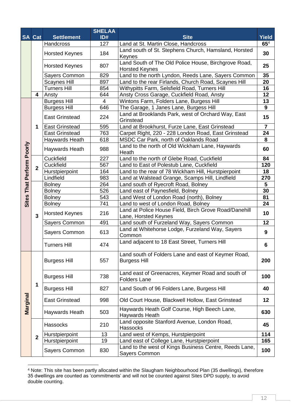|                          |                |                       | <b>SHELAA</b>  |                                                                         |                  |
|--------------------------|----------------|-----------------------|----------------|-------------------------------------------------------------------------|------------------|
|                          | <b>SA Cat</b>  | <b>Settlement</b>     | ID#            | <b>Site</b>                                                             | <b>Yield</b>     |
|                          |                | Handcross             | 127            | Land at St. Martin Close, Handcross                                     | $65^4$           |
|                          |                | <b>Horsted Keynes</b> | 184            | Land south of St. Stephens Church, Hamsland, Horsted                    | 30               |
|                          |                |                       |                | Keynes                                                                  |                  |
|                          |                | <b>Horsted Keynes</b> | 807            | Land South of The Old Police House, Birchgrove Road,                    | 25               |
|                          |                |                       |                | <b>Horsted Keynes</b>                                                   |                  |
|                          |                | Sayers Common         | 829            | Land to the north Lyndon, Reeds Lane, Sayers Common                     | 35               |
|                          |                | <b>Scaynes Hill</b>   | 897            | Land to the rear Firlands, Church Road, Scaynes Hill                    | 20               |
|                          |                | <b>Turners Hill</b>   | 854            | Withypitts Farm, Selsfield Road, Turners Hill                           | 16               |
|                          | 4              | Ansty                 | 644            | Ansty Cross Garage, Cuckfield Road, Ansty                               | 12               |
|                          |                | <b>Burgess Hill</b>   | $\overline{4}$ | Wintons Farm, Folders Lane, Burgess Hill                                | 13<br>9          |
|                          |                | <b>Burgess Hill</b>   | 646            | The Garage, 1 Janes Lane, Burgess Hill                                  |                  |
|                          |                | <b>East Grinstead</b> | 224            | Land at Brooklands Park, west of Orchard Way, East<br>Grinstead         | 15               |
|                          | 1              | <b>East Grinstead</b> | 595            | Land at Brookhurst, Furze Lane, East Grinstead                          | $\overline{7}$   |
|                          |                | <b>East Grinstead</b> | 763            | Carpet Right, 220 - 228 London Road, East Grinstead                     | 24               |
|                          |                | Haywards Heath        | 618            | MSDC Car Park, north of Oaklands Road                                   | 8                |
|                          |                |                       |                | Land to the north of Old Wickham Lane, Haywards                         |                  |
|                          |                | Haywards Heath        | 988            | Heath                                                                   | 60               |
|                          |                | Cuckfield             | 227            | Land to the north of Glebe Road, Cuckfield                              | 84               |
| Perform Poorly<br>That I |                | Cuckfield             | 567            | Land to East of Polestub Lane, Cuckfield                                | 120              |
|                          | $\overline{2}$ | Hurstpierpoint        | 164            | Land to the rear of 78 Wickham Hill, Hurstpierpoint                     | 18               |
|                          |                | Lindfield             | 983            | Land at Walstead Grange, Scamps Hill, Lindfield                         | 270              |
|                          |                | <b>Bolney</b>         | 264            | Land south of Ryecroft Road, Bolney                                     | 5                |
|                          |                | <b>Bolney</b>         | 526            | Land east of Paynesfield, Bolney                                        | 30               |
| <b>Sites</b>             |                | <b>Bolney</b>         | 543            | Land West of London Road (north), Bolney                                | 81               |
|                          |                | <b>Bolney</b>         | 741            | Land to west of London Road, Bolney                                     | 24               |
|                          |                | <b>Horsted Keynes</b> | 216            | Land at Police House Field, Birch Grove Road/Danehill                   | 10               |
|                          | 3              |                       |                | Lane, Horsted Keynes                                                    |                  |
|                          |                | Sayers Common         | 491            | Land south of Furzeland Way, Sayers Common                              | 12               |
|                          |                | Sayers Common         | 613            | Land at Whitehorse Lodge, Furzeland Way, Sayers<br>Common               | $\boldsymbol{9}$ |
|                          |                |                       |                | Land adjacent to 18 East Street, Turners Hill                           |                  |
|                          |                | <b>Turners Hill</b>   | 474            |                                                                         | 6                |
|                          |                |                       |                | Land south of Folders Lane and east of Keymer Road,                     |                  |
|                          |                | <b>Burgess Hill</b>   | 557            | <b>Burgess Hill</b>                                                     | 200              |
|                          |                |                       |                | Land east of Greenacres, Keymer Road and south of                       |                  |
|                          |                | <b>Burgess Hill</b>   | 738            | <b>Folders Lane</b>                                                     | 100              |
|                          | 1              | <b>Burgess Hill</b>   | 827            | Land South of 96 Folders Lane, Burgess Hill                             | 40               |
|                          |                |                       |                |                                                                         |                  |
| Marginal                 |                | <b>East Grinstead</b> | 998            | Old Court House, Blackwell Hollow, East Grinstead                       | 12               |
|                          |                | Haywards Heath        | 503            | Haywards Heath Golf Course, High Beech Lane,<br>Haywards Heath          | 630              |
|                          |                | Hassocks              | 210            | Land opposite Stanford Avenue, London Road,<br>Hassocks                 | 45               |
|                          | $\overline{2}$ | Hurstpierpoint        | 13             | Land west of Kemps, Hurstpierpoint                                      | 114              |
|                          |                | Hurstpierpoint        | 19             | Land east of College Lane, Hurstpierpoint                               | 165              |
|                          |                | Sayers Common         | 830            | Land to the west of Kings Business Centre, Reeds Lane,<br>Sayers Common | 100              |
|                          |                |                       |                |                                                                         |                  |

<sup>&</sup>lt;sup>4</sup> Note: This site has been partly allocated within the Slaugham Neighbourhood Plan (35 dwellings), therefore 35 dwellings are counted as 'commitments' and will not be counted against Sites DPD supply, to avoid double counting.

-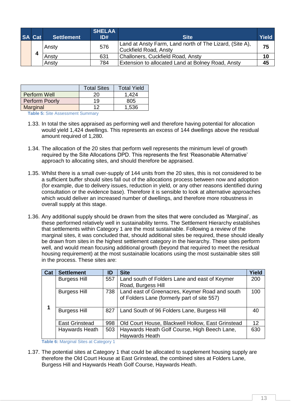|  | <b>SA Cat</b> | <b>Settlement</b>                     | <b>SHELAA</b><br>ID#                                    | <b>Site</b>                                              | <b>Yield</b> |
|--|---------------|---------------------------------------|---------------------------------------------------------|----------------------------------------------------------|--------------|
|  |               | 576<br>Ansty<br>Cuckfield Road, Ansty | Land at Ansty Farm, Land north of The Lizard, (Site A), | 75                                                       |              |
|  | 4             | Ansty                                 | 631                                                     | Challoners, Cuckfield Road, Ansty                        | 10           |
|  |               | Ansty                                 | 784                                                     | <b>Extension to allocated Land at Bolney Road, Ansty</b> | 45           |

|                                                                    | <b>Total Sites</b> | <b>Total Yield</b> |  |
|--------------------------------------------------------------------|--------------------|--------------------|--|
| Perform Well                                                       | 20                 | 1.424              |  |
| Perform Poorly                                                     | 19                 | 805                |  |
| Marginal                                                           | ィっ                 | 1,536              |  |
| $T = 1.12$ $T = 0.112$ $A = 0.002$ and $A = 0.002$ and $A = 0.002$ |                    |                    |  |

<span id="page-13-0"></span>**Table 5:** Site Assessment Summary

- 1.33. In total the sites appraised as performing well and therefore having potential for allocation would yield 1,424 dwellings. This represents an excess of 144 dwellings above the residual amount required of 1,280.
- 1.34. The allocation of the 20 sites that perform well represents the minimum level of growth required by the Site Allocations DPD. This represents the first 'Reasonable Alternative' approach to allocating sites, and should therefore be appraised.
- 1.35. Whilst there is a small over-supply of 144 units from the 20 sites, this is not considered to be a sufficient buffer should sites fall out of the allocations process between now and adoption (for example, due to delivery issues, reduction in yield, or any other reasons identified during consultation or the evidence base). Therefore it is sensible to look at alternative approaches which would deliver an increased number of dwellings, and therefore more robustness in overall supply at this stage.
- 1.36. Any additional supply should be drawn from the sites that were concluded as 'Marginal', as these performed relatively well in sustainability terms. The Settlement Hierarchy establishes that settlements within Category 1 are the most sustainable. Following a review of the marginal sites, it was concluded that, should additional sites be required, these should ideally be drawn from sites in the highest settlement category in the hierarchy. These sites perform well, and would mean focusing additional growth (beyond that required to meet the residual housing requirement) at the most sustainable locations using the most sustainable sites still in the process. These sites are:

| Cat | <b>Settlement</b>     | ID  | <b>Site</b>                                                                                   | Yield |
|-----|-----------------------|-----|-----------------------------------------------------------------------------------------------|-------|
|     | <b>Burgess Hill</b>   | 557 | Land south of Folders Lane and east of Keymer<br>Road, Burgess Hill                           | 200   |
| 1   | <b>Burgess Hill</b>   | 738 | Land east of Greenacres, Keymer Road and south<br>of Folders Lane (formerly part of site 557) | 100   |
|     | <b>Burgess Hill</b>   | 827 | Land South of 96 Folders Lane, Burgess Hill                                                   | 40    |
|     | <b>East Grinstead</b> | 998 | Old Court House, Blackwell Hollow, East Grinstead                                             | 12    |
|     | Haywards Heath        | 503 | Haywards Heath Golf Course, High Beech Lane,                                                  | 630   |
|     |                       |     | Haywards Heath                                                                                |       |

**Table 6: Marginal Sites at Category 1** 

<span id="page-13-1"></span>1.37. The potential sites at Category 1 that could be allocated to supplement housing supply are therefore the Old Court House at East Grinstead, the combined sites at Folders Lane, Burgess Hill and Haywards Heath Golf Course, Haywards Heath.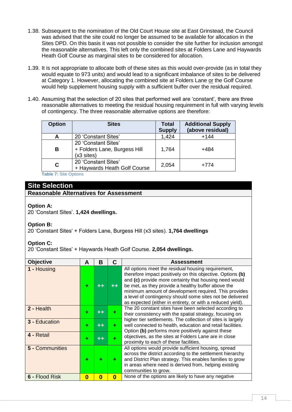- 1.38. Subsequent to the nomination of the Old Court House site at East Grinstead, the Council was advised that the site could no longer be assumed to be available for allocation in the Sites DPD. On this basis it was not possible to consider the site further for inclusion amongst the reasonable alternatives. This left only the combined sites at Folders Lane and Haywards Heath Golf Course as marginal sites to be considered for allocation.
- 1.39. It is not appropriate to allocate both of these sites as this would over-provide (as in total they would equate to 973 units) and would lead to a significant imbalance of sites to be delivered at Category 1. However, allocating the combined site at Folders Lane or the Golf Course would help supplement housing supply with a sufficient buffer over the residual required.
- 1.40. Assuming that the selection of 20 sites that performed well are 'constant', there are three reasonable alternatives to meeting the residual housing requirement in full with varying levels of contingency. The three reasonable alternative options are therefore:

| <b>Option</b> | <b>Sites</b>                                                      | <b>Total</b><br><b>Supply</b> | <b>Additional Supply</b><br>(above residual) |
|---------------|-------------------------------------------------------------------|-------------------------------|----------------------------------------------|
|               | 20 'Constant Sites'                                               | 1,424                         | $+144$                                       |
| B             | 20 'Constant Sites'<br>+ Folders Lane, Burgess Hill<br>(x3 sites) | 1,764                         | +484                                         |
| C.            | 20 'Constant Sites'<br>+ Haywards Heath Golf Course               | 2,054                         | +774                                         |

**Table 7:** Site Options

### <span id="page-14-0"></span>**Site Selection**

### **Reasonable Alternatives for Assessment**

### **Option A:**

20 'Constant Sites'. **1,424 dwellings.**

### **Option B:**

20 'Constant Sites' + Folders Lane, Burgess Hill (x3 sites). **1,764 dwellings**

### **Option C:**

20 'Constant Sites' + Haywards Heath Golf Course. **2,054 dwellings.**

| <b>Objective</b>     | A        | В  | C            | <b>Assessment</b>                                                                                                                                                                                                                                                                                                                                                                                                    |
|----------------------|----------|----|--------------|----------------------------------------------------------------------------------------------------------------------------------------------------------------------------------------------------------------------------------------------------------------------------------------------------------------------------------------------------------------------------------------------------------------------|
| 1 - Housing          | ٠        |    |              | All options meet the residual housing requirement,<br>therefore impact positively on this objective. Options (b)<br>and (c) provide more certainty that housing need would<br>be met, as they provide a healthy buffer above the<br>minimum amount of development required. This provides<br>a level of contingency should some sites not be delivered<br>as expected (either in entirety, or with a reduced yield). |
| 2 - Health           | ٠        |    |              | The 20 constant sites have been selected according to<br>their consistency with the spatial strategy, focusing on                                                                                                                                                                                                                                                                                                    |
| <b>3 - Education</b> | ٠        | ┿┿ | ٠            | higher tier settlements. The collection of sites is largely<br>well connected to health, education and retail facilities.<br>Option (b) performs more positively against these                                                                                                                                                                                                                                       |
| 4 - Retail           | ٠        |    |              | objectives, as the sites at Folders Lane are in close<br>proximity to each of these facilities.                                                                                                                                                                                                                                                                                                                      |
| 5 - Communities      | ٠        |    | ÷            | All options would provide sufficient housing, spread<br>across the district according to the settlement hierarchy<br>and District Plan strategy. This enables families to grow<br>in areas where need is derived from, helping existing<br>communities to grow.                                                                                                                                                      |
| 6 - Flood Risk       | $\bf{0}$ | O  | $\mathbf{0}$ | None of the options are likely to have any negative                                                                                                                                                                                                                                                                                                                                                                  |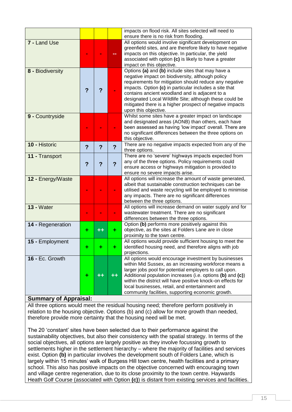|                   |                         |   |                | impacts on flood risk. All sites selected will need to<br>ensure there is no risk from flooding.                                                                                                                                                                                                                                                                                                                           |
|-------------------|-------------------------|---|----------------|----------------------------------------------------------------------------------------------------------------------------------------------------------------------------------------------------------------------------------------------------------------------------------------------------------------------------------------------------------------------------------------------------------------------------|
| 7 - Land Use      |                         |   |                | All options would involve significant development on<br>greenfield sites, and are therefore likely to have negative<br>impacts on this objective. In particular, the yield<br>associated with option (c) is likely to have a greater<br>impact on this objective.                                                                                                                                                          |
| 8 - Biodiversity  | $\overline{\mathbf{?}}$ | ? |                | Options (a) and (b) include sites that may have a<br>negative impact on biodiversity, although policy<br>requirements for mitigation should reduce any negative<br>impacts. Option (c) in particular includes a site that<br>contains ancient woodland and is adjacent to a<br>designated Local Wildlife Site; although these could be<br>mitigated there is a higher prospect of negative impacts<br>upon this objective. |
| 9 - Countryside   |                         |   |                | Whilst some sites have a greater impact on landscape<br>and designated areas (AONB) than others, each have<br>been assessed as having 'low impact' overall. There are<br>no significant differences between the three options on<br>this objective.                                                                                                                                                                        |
| 10 - Historic     | $\overline{\mathbf{?}}$ | ? | $\overline{?}$ | There are no negative impacts expected from any of the<br>three options.                                                                                                                                                                                                                                                                                                                                                   |
| 11 - Transport    | $\overline{\mathbf{?}}$ | ? | $\overline{?}$ | There are no 'severe' highways impacts expected from<br>any of the three options. Policy requirements could<br>ensure access or highways mitigation is provided to<br>ensure no severe impacts arise.                                                                                                                                                                                                                      |
| 12 - Energy/Waste |                         |   |                | All options will increase the amount of waste generated,<br>albeit that sustainable construction techniques can be<br>utilised and waste recycling will be employed to minimise<br>any impacts. There are no significant differences<br>between the three options.                                                                                                                                                         |
| 13 - Water        |                         |   |                | All options will increase demand on water supply and for<br>wastewater treatment. There are no significant<br>differences between the three options.                                                                                                                                                                                                                                                                       |
| 14 - Regeneration | ٠                       |   | ٠              | Option (b) performs more positively against this<br>objective, as the sites at Folders Lane are in close<br>proximity to the town centre.                                                                                                                                                                                                                                                                                  |
| 15 - Employment   |                         |   |                | All options would provide sufficient housing to meet the<br>identified housing need, and therefore aligns with job<br>projections.                                                                                                                                                                                                                                                                                         |
| 16 - Ec. Growth   |                         |   |                | All options would encourage investment by businesses<br>within Mid Sussex, as an increasing workforce means a<br>larger jobs pool for potential employers to call upon.<br>Additional population increases (i.e. options (b) and (c))<br>within the district will have positive knock-on effects for<br>local businesses, retail, and entertainment and<br>community facilities, supporting economic growth.               |

### **Summary of Appraisal:**

All three options would meet the residual housing need; therefore perform positively in relation to the housing objective. Options (b) and (c) allow for more growth than needed, therefore provide more certainty that the housing need will be met.

The 20 'constant' sites have been selected due to their performance against the sustainability objectives, but also their consistency with the spatial strategy. In terms of the social objectives, all options are largely positive as they involve focussing growth to settlements higher in the settlement hierarchy – where the majority of facilities and services exist. Option **(b)** in particular involves the development south of Folders Lane, which is largely within 15 minutes' walk of Burgess Hill town centre, health facilities and a primary school. This also has positive impacts on the objective concerned with encouraging town and village centre regeneration, due to its close proximity to the town centre. Haywards Heath Golf Course (associated with Option **(c)**) is distant from existing services and facilities.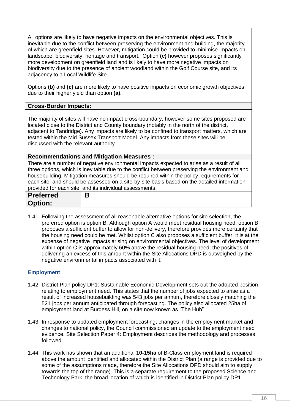All options are likely to have negative impacts on the environmental objectives. This is inevitable due to the conflict between preserving the environment and building, the majority of which are greenfield sites. However, mitigation could be provided to minimise impacts on landscape, biodiversity, heritage and transport. Option **(c)** however proposes significantly more development on greenfield land and is likely to have more negative impacts on biodiversity due to the presence of ancient woodland within the Golf Course site, and its adjacency to a Local Wildlife Site.

Options **(b)** and **(c)** are more likely to have positive impacts on economic growth objectives due to their higher yield than option **(a)**.

### **Cross-Border Impacts:**

The majority of sites will have no impact cross-boundary, however some sites proposed are located close to the District and County boundary (notably in the north of the district, adjacent to Tandridge). Any impacts are likely to be confined to transport matters, which are tested within the Mid Sussex Transport Model. Any impacts from these sites will be discussed with the relevant authority.

### **Recommendations and Mitigation Measures :**

There are a number of negative environmental impacts expected to arise as a result of all three options, which is inevitable due to the conflict between preserving the environment and housebuilding. Mitigation measures should be required within the policy requirements for each site, and should be assessed on a site-by-site basis based on the detailed information provided for each site, and its individual assessments.

| <b>Preferred</b> | B |
|------------------|---|
| <b>Option:</b>   |   |

1.41. Following the assessment of all reasonable alternative options for site selection, the preferred option is option B. Although option A would meet residual housing need, option B proposes a sufficient buffer to allow for non-delivery, therefore provides more certainty that the housing need could be met. Whilst option C also proposes a sufficient buffer, it is at the expense of negative impacts arising on environmental objectives. The level of development within option C is approximately 60% above the residual housing need, the positives of delivering an excess of this amount within the Site Allocations DPD is outweighed by the negative environmental impacts associated with it.

### <span id="page-16-0"></span>**Employment**

- 1.42. District Plan policy DP1: Sustainable Economic Development sets out the adopted position relating to employment need. This states that the number of jobs expected to arise as a result of increased housebuilding was 543 jobs per annum, therefore closely matching the 521 jobs per annum anticipated through forecasting. The policy also allocated 25ha of employment land at Burgess Hill, on a site now known as "The Hub".
- 1.43. In response to updated employment forecasting, changes in the employment market and changes to national policy, the Council commissioned an update to the employment need evidence. Site Selection Paper 4: Employment describes the methodology and processes followed.
- 1.44. This work has shown that an additional **10-15ha** of B-Class employment land is required above the amount identified and allocated within the District Plan (a range is provided due to some of the assumptions made, therefore the Site Allocations DPD should aim to supply towards the top of the range). This is a separate requirement to the proposed Science and Technology Park, the broad location of which is identified in District Plan policy DP1.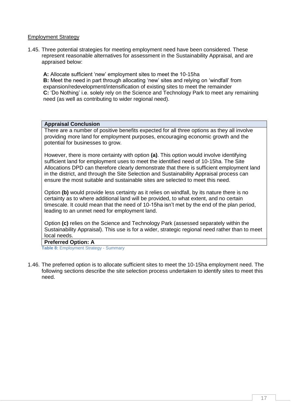### Employment Strategy

1.45. Three potential strategies for meeting employment need have been considered. These represent reasonable alternatives for assessment in the Sustainability Appraisal, and are appraised below:

**A:** Allocate sufficient 'new' employment sites to meet the 10-15ha **B:** Meet the need in part through allocating 'new' sites and relying on 'windfall' from expansion/redevelopment/intensification of existing sites to meet the remainder **C:** 'Do Nothing' i.e. solely rely on the Science and Technology Park to meet any remaining need (as well as contributing to wider regional need).

#### **Appraisal Conclusion**

There are a number of positive benefits expected for all three options as they all involve providing more land for employment purposes, encouraging economic growth and the potential for businesses to grow.

However, there is more certainty with option **(a)**. This option would involve identifying sufficient land for employment uses to meet the identified need of 10-15ha. The Site Allocations DPD can therefore clearly demonstrate that there is sufficient employment land in the district, and through the Site Selection and Sustainability Appraisal process can ensure the most suitable and sustainable sites are selected to meet this need.

Option **(b)** would provide less certainty as it relies on windfall, by its nature there is no certainty as to where additional land will be provided, to what extent, and no certain timescale. It could mean that the need of 10-15ha isn't met by the end of the plan period, leading to an unmet need for employment land.

Option **(c)** relies on the Science and Technology Park (assessed separately within the Sustainability Appraisal). This use is for a wider, strategic regional need rather than to meet local needs.

#### **Preferred Option: A**

<span id="page-17-0"></span>**Table 8:** Employment Strategy - Summary

1.46. The preferred option is to allocate sufficient sites to meet the 10-15ha employment need. The following sections describe the site selection process undertaken to identify sites to meet this need.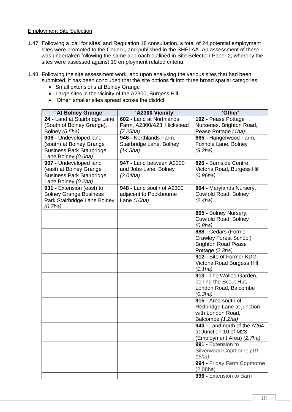### Employment Site Selection

- 1.47. Following a 'call for sites' and Regulation 18 consultation, a total of 24 potential employment sites were promoted to the Council, and published in the SHELAA. An assessment of these was undertaken following the same approach outlined in Site Selection Paper 2, whereby the sites were assessed against 19 employment related criteria.
- 1.48. Following the site assessment work, and upon analysing the various sites that had been submitted, it has been concluded that the site options fit into three broad spatial categories:
	- Small extensions at Bolney Grange
	- Large sites in the vicinity of the A2300, Burgess Hill
	- 'Other' smaller sites spread across the district

| 'At Bolney Grange'                                           | 'A2300 Vicinity'                     | 'Other'                         |
|--------------------------------------------------------------|--------------------------------------|---------------------------------|
| 24 - Land at Stairbridge Lane                                | 602 - Land at Northlands             | 192 - Pease Pottage             |
| (South of Bolney Grange),                                    | Farm, A2300/A23, Hickstead           | Nurseries, Brighton Road,       |
| Bolney (5.5ha)                                               | (7.25ha)                             | Pease Pottage (1ha)             |
| 906 - Undeveloped land                                       | 946 - Northlands Farm,               | 665 - Hangerwood Farm,          |
| (south) at Bolney Grange<br><b>Business Park Stairbridge</b> | Stairbridge Lane, Bolney<br>(14.5ha) | Foxhole Lane, Bolney<br>(9.2ha) |
| Lane Bolney (0.6ha)                                          |                                      |                                 |
| 907 - Undeveloped land                                       | 947 - Land between A2300             | 826 - Burnside Centre,          |
| (east) at Bolney Grange                                      | and Jobs Lane, Bolney                | Victoria Road, Burgess Hill     |
| <b>Business Park Stairbridge</b>                             | (2.04ha)                             | (0.96ha)                        |
| Lane Bolney (0.2ha)                                          |                                      |                                 |
| 931 - Extension (east) to                                    | 948 - Land south of A2300            | 864 - Marylands Nursery,        |
| <b>Bolney Grange Business</b>                                | adjacent to Pookbourne               | Cowfold Road, Bolney            |
| Park Stairbridge Lane Bolney                                 | Lane (10ha)                          | (2.4ha)                         |
| (0.7ha)                                                      |                                      |                                 |
|                                                              |                                      | 865 - Bolney Nursery,           |
|                                                              |                                      | Cowfold Road, Bolney            |
|                                                              |                                      | (0.8ha)<br>888 - Cedars (Former |
|                                                              |                                      | <b>Crawley Forest School)</b>   |
|                                                              |                                      | <b>Brighton Road Pease</b>      |
|                                                              |                                      | Pottage (2.3ha)                 |
|                                                              |                                      | 912 - Site of Former KDG        |
|                                                              |                                      | Victoria Road Burgess Hill      |
|                                                              |                                      | (1.1ha)                         |
|                                                              |                                      | 913 - The Walled Garden,        |
|                                                              |                                      | behind the Scout Hut,           |
|                                                              |                                      | London Road, Balcombe           |
|                                                              |                                      | (0.3ha)<br>915 - Area south of  |
|                                                              |                                      | Redbridge Lane at junction      |
|                                                              |                                      | with London Road,               |
|                                                              |                                      | Balcombe (1.2ha)                |
|                                                              |                                      | 940 - Land north of the A264    |
|                                                              |                                      | at Junction 10 of M23           |
|                                                              |                                      | (Employment Area) (2.7ha)       |
|                                                              |                                      | 991 - Extension to              |
|                                                              |                                      | Silverwood Copthorne (10-       |
|                                                              |                                      | 15ha)                           |
|                                                              |                                      | 994 - Friday Farm Copthorne     |
|                                                              |                                      | (2.08ha)                        |
|                                                              |                                      | 996 - Extension to Barn         |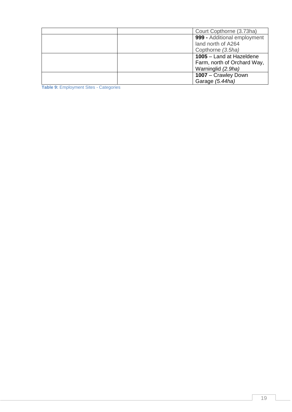| Court Copthorne (3.73ha)    |
|-----------------------------|
| 999 - Additional employment |
| land north of A264          |
| Copthorne (3.5ha)           |
| 1005 - Land at Hazeldene    |
| Farm, north of Orchard Way, |
| Warninglid (2.9ha)          |
| 1007 - Crawley Down         |
| Garage (5.44ha)             |

<span id="page-19-0"></span>**Table 9:** Employment Sites - Categories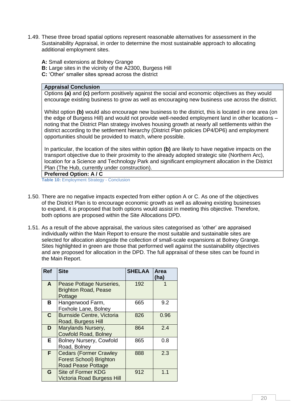- 1.49. These three broad spatial options represent reasonable alternatives for assessment in the Sustainability Appraisal, in order to determine the most sustainable approach to allocating additional employment sites.
	- **A:** Small extensions at Bolney Grange
	- **B:** Large sites in the vicinity of the A2300, Burgess Hill
	- **C:** 'Other' smaller sites spread across the district

#### **Appraisal Conclusion**

Options **(a)** and **(c)** perform positively against the social and economic objectives as they would encourage existing business to grow as well as encouraging new business use across the district.

Whilst option **(b)** would also encourage new business to the district, this is located in one area (on the edge of Burgess Hill) and would not provide well-needed employment land in other locations – noting that the District Plan strategy involves housing growth at nearly all settlements within the district according to the settlement hierarchy (District Plan policies DP4/DP6) and employment opportunities should be provided to match, where possible.

In particular, the location of the sites within option **(b)** are likely to have negative impacts on the transport objective due to their proximity to the already adopted strategic site (Northern Arc), location for a Science and Technology Park and significant employment allocation in the District Plan (The Hub, currently under construction).

### **Preferred Option: A / C**

<span id="page-20-0"></span>**Table 10:** Employment Strategy - Conclusion

- 1.50. There are no negative impacts expected from either option A or C. As one of the objectives of the District Plan is to encourage economic growth as well as allowing existing businesses to expand, it is proposed that both options would assist in meeting this objective. Therefore, both options are proposed within the Site Allocations DPD.
- 1.51. As a result of the above appraisal, the various sites categorised as 'other' are appraised individually within the Main Report to ensure the most suitable and sustainable sites are selected for allocation alongside the collection of small-scale expansions at Bolney Grange. Sites highlighted in green are those that performed well against the sustainability objectives and are proposed for allocation in the DPD. The full appraisal of these sites can be found in the Main Report.

| <b>Ref</b>   | <b>Site</b>                                                                                  | <b>SHELAA</b> | Area<br>(ha) |
|--------------|----------------------------------------------------------------------------------------------|---------------|--------------|
| A            | Pease Pottage Nurseries,<br><b>Brighton Road, Pease</b><br>Pottage                           | 192           | 1            |
| В            | Hangerwood Farm,<br>Foxhole Lane, Bolney                                                     | 665           | 9.2          |
| $\mathbf{C}$ | <b>Burnside Centre, Victoria</b><br>Road, Burgess Hill                                       | 826           | 0.96         |
| D            | Marylands Nursery,<br><b>Cowfold Road, Bolney</b>                                            | 864           | 2.4          |
| E.           | <b>Bolney Nursery, Cowfold</b><br>Road, Bolney                                               | 865           | 0.8          |
| F.           | <b>Cedars (Former Crawley</b><br><b>Forest School) Brighton</b><br><b>Road Pease Pottage</b> | 888           | 2.3          |
| G            | <b>Site of Former KDG</b><br><b>Victoria Road Burgess Hill</b>                               | 912           | 1.1          |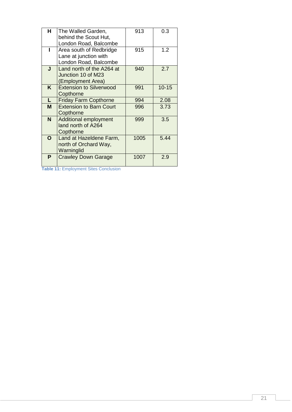| н  | The Walled Garden,             | 913  | 0.3       |
|----|--------------------------------|------|-----------|
|    | behind the Scout Hut,          |      |           |
|    | London Road, Balcombe          |      |           |
|    | Area south of Redbridge        | 915  | 1.2       |
|    | Lane at junction with          |      |           |
|    | London Road, Balcombe          |      |           |
| J  | Land north of the A264 at      | 940  | 2.7       |
|    | Junction 10 of M23             |      |           |
|    | (Employment Area)              |      |           |
| K. | <b>Extension to Silverwood</b> | 991  | $10 - 15$ |
|    |                                |      |           |
|    | Copthorne                      |      |           |
| L  | <b>Friday Farm Copthorne</b>   | 994  | 2.08      |
| M  | <b>Extension to Barn Court</b> | 996  | 3.73      |
|    | Copthorne                      |      |           |
| N. | <b>Additional employment</b>   | 999  | 3.5       |
|    | land north of A264             |      |           |
|    | Copthorne                      |      |           |
|    |                                |      |           |
| O  | Land at Hazeldene Farm,        | 1005 | 5.44      |
|    | north of Orchard Way,          |      |           |
|    | Warninglid                     |      |           |
| P  | <b>Crawley Down Garage</b>     | 1007 | 2.9       |
|    |                                |      |           |
|    |                                |      |           |

<span id="page-21-0"></span>**Table 11:** Employment Sites Conclusion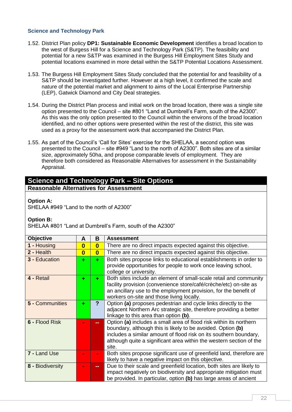### <span id="page-22-0"></span>**Science and Technology Park**

- 1.52. District Plan policy **DP1: Sustainable Economic Development** identifies a broad location to the west of Burgess Hill for a Science and Technology Park (S&TP). The feasibility and potential for a new S&TP was examined in the Burgess Hill Employment Sites Study and potential locations examined in more detail within the S&TP Potential Locations Assessment.
- 1.53. The Burgess Hill Employment Sites Study concluded that the potential for and feasibility of a S&TP should be investigated further. However at a high level, it confirmed the scale and nature of the potential market and alignment to aims of the Local Enterprise Partnership (LEP), Gatwick Diamond and City Deal strategies.
- 1.54. During the District Plan process and initial work on the broad location, there was a single site option presented to the Council – site #801 "Land at Dumbrell's Farm, south of the A2300". As this was the only option presented to the Council within the environs of the broad location identified, and no other options were presented within the rest of the district, this site was used as a proxy for the assessment work that accompanied the District Plan.
- 1.55. As part of the Council's 'Call for Sites' exercise for the SHELAA, a second option was presented to the Council – site #949 "Land to the north of A2300". Both sites are of a similar size, approximately 50ha, and propose comparable levels of employment. They are therefore both considered as Reasonable Alternatives for assessment in the Sustainability Appraisal.

### **Science and Technology Park – Site Options Reasonable Alternatives for Assessment**

### **Option A:**

SHELAA #949 "Land to the north of A2300"

### **Option B:**

SHELAA #801 "Land at Dumbrell's Farm, south of the A2300"

| <b>Objective</b>     | A                       | B                       | <b>Assessment</b>                                                                                                                                                                                                                                                                      |
|----------------------|-------------------------|-------------------------|----------------------------------------------------------------------------------------------------------------------------------------------------------------------------------------------------------------------------------------------------------------------------------------|
| 1 - Housing          | $\bf{0}$                | $\overline{\mathbf{0}}$ | There are no direct impacts expected against this objective.                                                                                                                                                                                                                           |
| 2 - Health           | $\overline{\mathbf{0}}$ | $\overline{\mathbf{0}}$ | There are no direct impacts expected against this objective.                                                                                                                                                                                                                           |
| <b>3 - Education</b> | ÷                       | ÷                       | Both sites propose links to educational establishments in order to<br>provide opportunities for people to work once leaving school,<br>college or university.                                                                                                                          |
| 4 - Retail           | ÷                       | ÷                       | Both sites include an element of small-scale retail and community<br>facility provision (convenience store/café/crèche/etc) on-site as<br>an ancillary use to the employment provision, for the benefit of<br>workers on-site and those living locally.                                |
| 5 - Communities      | ÷                       | ?                       | Option (a) proposes pedestrian and cycle links directly to the<br>adjacent Northern Arc strategic site, therefore providing a better<br>linkage to this area than option (b).                                                                                                          |
| 6 - Flood Risk       |                         | --                      | Option (a) includes a small area of flood risk within its northern<br>boundary, although this is likely to be avoided. Option (b)<br>includes a similar amount of flood risk on its southern boundary,<br>although quite a significant area within the western section of the<br>site. |
| 7 - Land Use         |                         |                         | Both sites propose significant use of greenfield land, therefore are<br>likely to have a negative impact on this objective.                                                                                                                                                            |
| 8 - Biodiversity     |                         | --                      | Due to their scale and greenfield location, both sites are likely to<br>impact negatively on biodiversity and appropriate mitigation must<br>be provided. In particular, option (b) has large areas of ancient                                                                         |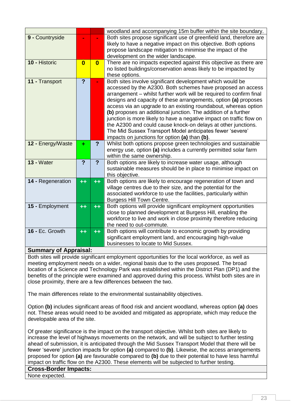|                       |                         |                         | woodland and accompanying 15m buffer within the site boundary.                                                                           |
|-----------------------|-------------------------|-------------------------|------------------------------------------------------------------------------------------------------------------------------------------|
| 9 - Countryside       |                         |                         | Both sites propose significant use of greenfield land, therefore are<br>likely to have a negative impact on this objective. Both options |
|                       |                         |                         | propose landscape mitigation to minimise the impact of the                                                                               |
|                       |                         |                         | development on the wider landscape.                                                                                                      |
| 10 - Historic         | $\overline{\mathbf{0}}$ | $\overline{\mathbf{0}}$ | There are no impacts expected against this objective as there are                                                                        |
|                       |                         |                         | no listed buildings/conservation areas likely to be impacted by                                                                          |
|                       |                         |                         | these options.                                                                                                                           |
| 11 - Transport        | $\overline{?}$          |                         | Both sites involve significant development which would be<br>accessed by the A2300. Both schemes have proposed an access                 |
|                       |                         |                         | arrangement - whilst further work will be required to confirm final                                                                      |
|                       |                         |                         | designs and capacity of these arrangements, option (a) proposes                                                                          |
|                       |                         |                         | access via an upgrade to an existing roundabout, whereas option                                                                          |
|                       |                         |                         | (b) proposes an additional junction. The addition of a further                                                                           |
|                       |                         |                         | junction is more likely to have a negative impact on traffic flow on                                                                     |
|                       |                         |                         | the A2300 and could cause knock-on delays at other junctions.                                                                            |
|                       |                         |                         | The Mid Sussex Transport Model anticipates fewer 'severe'                                                                                |
| 12 - Energy/Waste     |                         | $\overline{?}$          | impacts on junctions for option (a) than (b).<br>Whilst both options propose green technologies and sustainable                          |
|                       | ÷                       |                         | energy use, option (a) includes a currently permitted solar farm                                                                         |
|                       |                         |                         | within the same ownership.                                                                                                               |
| <b>13 - Water</b>     | $\overline{?}$          | $\overline{?}$          | Both options are likely to increase water usage, although                                                                                |
|                       |                         |                         | sustainable measures should be in place to minimise impact on                                                                            |
|                       |                         |                         | this objective.                                                                                                                          |
| 14 - Regeneration     | $++$                    | $+ +$                   | Both options are likely to encourage regeneration of town and<br>village centres due to their size, and the potential for the            |
|                       |                         |                         | associated workforce to use the facilities, particularly within                                                                          |
|                       |                         |                         | Burgess Hill Town Centre.                                                                                                                |
| 15 - Employment       | $++$                    | $+ +$                   | Both options will provide significant employment opportunities                                                                           |
|                       |                         |                         | close to planned development at Burgess Hill, enabling the                                                                               |
|                       |                         |                         | workforce to live and work in close proximity therefore reducing                                                                         |
|                       |                         |                         | the need to out-commute.                                                                                                                 |
| 16 - Ec. Growth       | $++$                    | $++$                    | Both options will contribute to economic growth by providing                                                                             |
|                       |                         |                         | significant employment land, and encouraging high-value<br>businesses to locate to Mid Sussex.                                           |
| Summary of Annraical. |                         |                         |                                                                                                                                          |

### **Summary of Appraisal:**

Both sites will provide significant employment opportunities for the local workforce, as well as meeting employment needs on a wider, regional basis due to the uses proposed. The broad location of a Science and Technology Park was established within the District Plan (DP1) and the benefits of the principle were examined and approved during this process. Whilst both sites are in close proximity, there are a few differences between the two.

The main differences relate to the environmental sustainability objectives.

Option **(b)** includes significant areas of flood risk and ancient woodland, whereas option **(a)** does not. These areas would need to be avoided and mitigated as appropriate, which may reduce the developable area of the site.

Of greater significance is the impact on the transport objective. Whilst both sites are likely to increase the level of highways movements on the network, and will be subject to further testing ahead of submission, it is anticipated through the Mid Sussex Transport Model that there will be fewer 'severe' junction impacts for option **(a)** compared to **(b)**. Likewise, the access arrangements proposed for option **(a)** are favourable compared to **(b)** due to their potential to have less harmful impact on traffic flow on the A2300. These elements will be subjected to further testing.

**Cross-Border Impacts:**

None expected.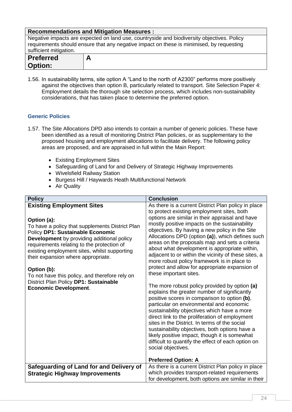| <b>Recommendations and Mitigation Measures:</b>                                            |   |  |
|--------------------------------------------------------------------------------------------|---|--|
| Negative impacts are expected on land use, countryside and biodiversity objectives. Policy |   |  |
| requirements should ensure that any negative impact on these is minimised, by requesting   |   |  |
| sufficient mitigation.                                                                     |   |  |
| <b>Preferred</b>                                                                           | А |  |
| <b>Option:</b>                                                                             |   |  |

1.56. In sustainability terms, site option A "Land to the north of A2300" performs more positively against the objectives than option B, particularly related to transport. Site Selection Paper 4: Employment details the thorough site selection process, which includes non-sustainability considerations, that has taken place to determine the preferred option.

### <span id="page-24-0"></span>**Generic Policies**

- 1.57. The Site Allocations DPD also intends to contain a number of generic policies. These have been identified as a result of monitoring District Plan policies, or as supplementary to the proposed housing and employment allocations to facilitate delivery. The following policy areas are proposed, and are appraised in full within the Main Report:
	- Existing Employment Sites
	- Safeguarding of Land for and Delivery of Strategic Highway Improvements
	- Wivelsfield Railway Station
	- Burgess Hill / Haywards Heath Multifunctional Network
	- Air Quality

| <b>Policy</b>                                                                                                                                                                                                                                                                                                                                                                                                                                                      | <b>Conclusion</b>                                                                                                                                                                                                                                                                                                                                                                                                                                                                                                                                                                                                                                                                                                                                                                                                                                                                                                                                                                                                                                                                                                                                             |
|--------------------------------------------------------------------------------------------------------------------------------------------------------------------------------------------------------------------------------------------------------------------------------------------------------------------------------------------------------------------------------------------------------------------------------------------------------------------|---------------------------------------------------------------------------------------------------------------------------------------------------------------------------------------------------------------------------------------------------------------------------------------------------------------------------------------------------------------------------------------------------------------------------------------------------------------------------------------------------------------------------------------------------------------------------------------------------------------------------------------------------------------------------------------------------------------------------------------------------------------------------------------------------------------------------------------------------------------------------------------------------------------------------------------------------------------------------------------------------------------------------------------------------------------------------------------------------------------------------------------------------------------|
| <b>Existing Employment Sites</b><br>Option (a):<br>To have a policy that supplements District Plan<br>Policy DP1: Sustainable Economic<br>Development by providing additional policy<br>requirements relating to the protection of<br>existing employment sites, whilst supporting<br>their expansion where appropriate.<br>Option (b):<br>To not have this policy, and therefore rely on<br>District Plan Policy DP1: Sustainable<br><b>Economic Development.</b> | As there is a current District Plan policy in place<br>to protect existing employment sites, both<br>options are similar in their appraisal and have<br>mostly positive impacts on the sustainability<br>objectives. By having a new policy in the Site<br>Allocations DPD (option (a)), which defines such<br>areas on the proposals map and sets a criteria<br>about what development is appropriate within,<br>adjacent to or within the vicinity of these sites, a<br>more robust policy framework is in place to<br>protect and allow for appropriate expansion of<br>these important sites.<br>The more robust policy provided by option (a)<br>explains the greater number of significantly<br>positive scores in comparison to option (b),<br>particular on environmental and economic<br>sustainability objectives which have a more<br>direct link to the proliferation of employment<br>sites in the District. In terms of the social<br>sustainability objectives, both options have a<br>likely positive impact, though it is somewhat<br>difficult to quantify the effect of each option on<br>social objectives.<br><b>Preferred Option: A</b> |
| Safeguarding of Land for and Delivery of                                                                                                                                                                                                                                                                                                                                                                                                                           | As there is a current District Plan policy in place                                                                                                                                                                                                                                                                                                                                                                                                                                                                                                                                                                                                                                                                                                                                                                                                                                                                                                                                                                                                                                                                                                           |
| <b>Strategic Highway Improvements</b>                                                                                                                                                                                                                                                                                                                                                                                                                              | which provides transport-related requirements                                                                                                                                                                                                                                                                                                                                                                                                                                                                                                                                                                                                                                                                                                                                                                                                                                                                                                                                                                                                                                                                                                                 |
|                                                                                                                                                                                                                                                                                                                                                                                                                                                                    | for development, both options are similar in their                                                                                                                                                                                                                                                                                                                                                                                                                                                                                                                                                                                                                                                                                                                                                                                                                                                                                                                                                                                                                                                                                                            |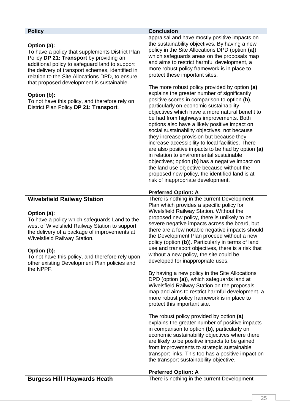| <b>Policy</b>                                                                                                                                                                                                                                                                                                                                                                                                              | <b>Conclusion</b>                                                                                                                                                                                                                                                                                                                                                                                                                                                                                                                                                                                                                                                                                                                                                                                                                                                                                                                                                                                                                                                                                                                                                                                                      |
|----------------------------------------------------------------------------------------------------------------------------------------------------------------------------------------------------------------------------------------------------------------------------------------------------------------------------------------------------------------------------------------------------------------------------|------------------------------------------------------------------------------------------------------------------------------------------------------------------------------------------------------------------------------------------------------------------------------------------------------------------------------------------------------------------------------------------------------------------------------------------------------------------------------------------------------------------------------------------------------------------------------------------------------------------------------------------------------------------------------------------------------------------------------------------------------------------------------------------------------------------------------------------------------------------------------------------------------------------------------------------------------------------------------------------------------------------------------------------------------------------------------------------------------------------------------------------------------------------------------------------------------------------------|
| Option (a):<br>To have a policy that supplements District Plan<br>Policy DP 21: Transport by providing an<br>additional policy to safeguard land to support<br>the delivery of transport schemes, identified in<br>relation to the Site Allocations DPD, to ensure<br>that proposed development is sustainable.<br>Option (b):<br>To not have this policy, and therefore rely on<br>District Plan Policy DP 21: Transport. | appraisal and have mostly positive impacts on<br>the sustainability objectives. By having a new<br>policy in the Site Allocations DPD (option (a)),<br>which safeguards areas on the proposals map<br>and aims to restrict harmful development, a<br>more robust policy framework is in place to<br>protect these important sites.<br>The more robust policy provided by option (a)<br>explains the greater number of significantly<br>positive scores in comparison to option (b),<br>particularly on economic sustainability<br>objectives which have a more natural benefit to<br>be had from highways improvements. Both<br>options also have a likely positive impact on<br>social sustainability objectives, not because<br>they increase provision but because they<br>increase accessibility to local facilities. There<br>are also positive impacts to be had by option (a)<br>in relation to environmental sustainable<br>objectives; option (b) has a negative impact on<br>the land use objective because without the<br>proposed new policy, the identified land is at<br>risk of inappropriate development.                                                                                              |
|                                                                                                                                                                                                                                                                                                                                                                                                                            | <b>Preferred Option: A</b>                                                                                                                                                                                                                                                                                                                                                                                                                                                                                                                                                                                                                                                                                                                                                                                                                                                                                                                                                                                                                                                                                                                                                                                             |
| <b>Wivelsfield Railway Station</b><br>Option (a):<br>To have a policy which safeguards Land to the<br>west of Wivelsfield Railway Station to support<br>the delivery of a package of improvements at<br>Wivelsfield Railway Station.<br>Option (b):<br>To not have this policy, and therefore rely upon<br>other existing Development Plan policies and<br>the NPPF.                                                       | There is nothing in the current Development<br>Plan which provides a specific policy for<br>Wivelsfield Railway Station. Without the<br>proposed new policy, there is unlikely to be<br>severe negative impacts across the board, but<br>there are a few notable negative impacts should<br>the Development Plan proceed without a new<br>policy (option (b)). Particularly in terms of land<br>use and transport objectives, there is a risk that<br>without a new policy, the site could be<br>developed for inappropriate uses.<br>By having a new policy in the Site Allocations<br>DPD (option (a)), which safeguards land at<br>Wivelsfield Railway Station on the proposals<br>map and aims to restrict harmful development, a<br>more robust policy framework is in place to<br>protect this important site.<br>The robust policy provided by option (a)<br>explains the greater number of positive impacts<br>in comparison to option (b), particularly on<br>economic sustainability objectives where there<br>are likely to be positive impacts to be gained<br>from improvements to strategic sustainable<br>transport links. This too has a positive impact on<br>the transport sustainability objective. |
| <b>Burgess Hill / Haywards Heath</b>                                                                                                                                                                                                                                                                                                                                                                                       | <b>Preferred Option: A</b><br>There is nothing in the current Development                                                                                                                                                                                                                                                                                                                                                                                                                                                                                                                                                                                                                                                                                                                                                                                                                                                                                                                                                                                                                                                                                                                                              |
|                                                                                                                                                                                                                                                                                                                                                                                                                            |                                                                                                                                                                                                                                                                                                                                                                                                                                                                                                                                                                                                                                                                                                                                                                                                                                                                                                                                                                                                                                                                                                                                                                                                                        |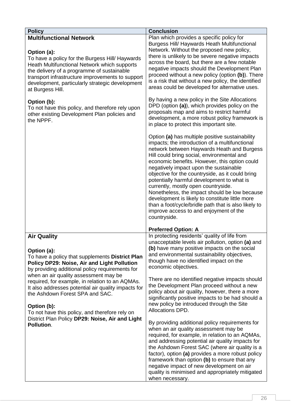| <b>Policy</b>                                                                                                                                                                                                                                                                                                                                                                                                                                                                            | <b>Conclusion</b>                                                                                                                                                                                                                                                                                                                                                                                                                                                                                                                                                                                                                                                                                                                                                                                                                                                                                                                                                                                                                                                                                                                                                                                                                                                                                                                                                  |
|------------------------------------------------------------------------------------------------------------------------------------------------------------------------------------------------------------------------------------------------------------------------------------------------------------------------------------------------------------------------------------------------------------------------------------------------------------------------------------------|--------------------------------------------------------------------------------------------------------------------------------------------------------------------------------------------------------------------------------------------------------------------------------------------------------------------------------------------------------------------------------------------------------------------------------------------------------------------------------------------------------------------------------------------------------------------------------------------------------------------------------------------------------------------------------------------------------------------------------------------------------------------------------------------------------------------------------------------------------------------------------------------------------------------------------------------------------------------------------------------------------------------------------------------------------------------------------------------------------------------------------------------------------------------------------------------------------------------------------------------------------------------------------------------------------------------------------------------------------------------|
| <b>Multifunctional Network</b><br>Option (a):<br>To have a policy for the Burgess Hill/ Haywards<br>Heath Multifunctional Network which supports<br>the delivery of a programme of sustainable<br>transport infrastructure improvements to support<br>development, particularly strategic development<br>at Burgess Hill.<br>Option (b):<br>To not have this policy, and therefore rely upon<br>other existing Development Plan policies and<br>the NPPF.                                | Plan which provides a specific policy for<br>Burgess Hill/ Haywards Heath Multifunctional<br>Network. Without the proposed new policy,<br>there is unlikely to be severe negative impacts<br>across the board, but there are a few notable<br>negative impacts should the Development Plan<br>proceed without a new policy (option (b)). There<br>is a risk that without a new policy, the identified<br>areas could be developed for alternative uses.<br>By having a new policy in the Site Allocations<br>DPD (option (a)), which provides policy on the<br>proposals map and aims to restrict harmful<br>development, a more robust policy framework is<br>in place to protect this important site.<br>Option (a) has multiple positive sustainability<br>impacts; the introduction of a multifunctional<br>network between Haywards Heath and Burgess<br>Hill could bring social, environmental and<br>economic benefits. However, this option could<br>negatively impact upon the sustainable<br>objective for the countryside, as it could bring<br>potentially harmful development to what is<br>currently, mostly open countryside.<br>Nonetheless, the impact should be low because<br>development is likely to constitute little more<br>than a foot/cycle/bridle path that is also likely to<br>improve access to and enjoyment of the<br>countryside. |
| <b>Air Quality</b>                                                                                                                                                                                                                                                                                                                                                                                                                                                                       | <b>Preferred Option: A</b><br>In protecting residents' quality of life from                                                                                                                                                                                                                                                                                                                                                                                                                                                                                                                                                                                                                                                                                                                                                                                                                                                                                                                                                                                                                                                                                                                                                                                                                                                                                        |
| Option (a):<br>To have a policy that supplements District Plan<br>Policy DP29: Noise, Air and Light Pollution<br>by providing additional policy requirements for<br>when an air quality assessment may be<br>required, for example, in relation to an AQMAs.<br>It also addresses potential air quality impacts for<br>the Ashdown Forest SPA and SAC.<br>Option (b):<br>To not have this policy, and therefore rely on<br>District Plan Policy DP29: Noise, Air and Light<br>Pollution. | unacceptable levels air pollution, option (a) and<br>(b) have many positive impacts on the social<br>and environmental sustainability objectives,<br>though have no identified impact on the<br>economic objectives.<br>There are no identified negative impacts should<br>the Development Plan proceed without a new<br>policy about air quality, however, there a more<br>significantly positive impacts to be had should a<br>new policy be introduced through the Site<br>Allocations DPD.<br>By providing additional policy requirements for<br>when an air quality assessment may be<br>required, for example, in relation to an AQMAs,<br>and addressing potential air quality impacts for<br>the Ashdown Forest SAC (where air quality is a<br>factor), option (a) provides a more robust policy<br>framework than option (b) to ensure that any<br>negative impact of new development on air<br>quality is minimised and appropriately mitigated<br>when necessary.                                                                                                                                                                                                                                                                                                                                                                                       |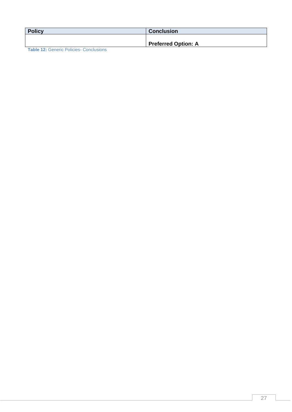| <b>Policy</b>                           | <b>Conclusion</b>          |
|-----------------------------------------|----------------------------|
|                                         | <b>Preferred Option: A</b> |
| Teble 49: Conorio Deligios, Conolugione |                            |

<span id="page-27-0"></span>**Table 12:** Generic Policies- Conclusions